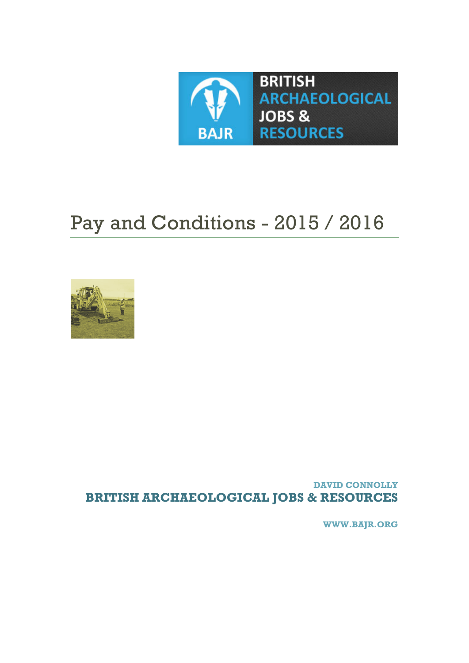**[WWW.BAJR.ORG](http://www.bajr.org/)**

<span id="page-0-0"></span>**DAVID CONNOLLY BRITISH ARCHAEOLOGICAL JOBS & RESOURCES**



# Pay and Conditions - 2015 / 2016

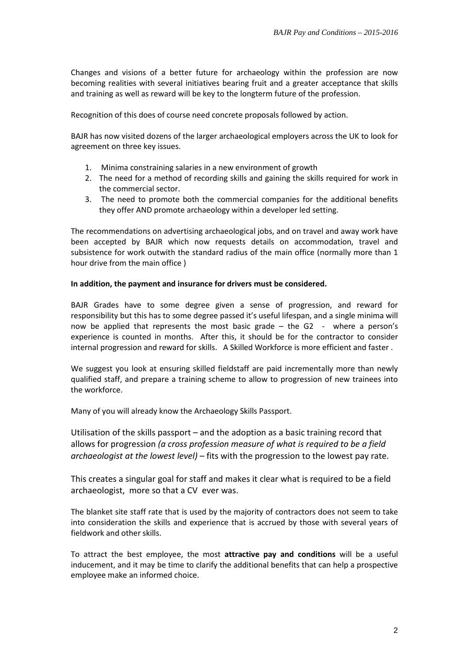Changes and visions of a better future for archaeology within the profession are now becoming realities with several initiatives bearing fruit and a greater acceptance that skills and training as well as reward will be key to the longterm future of the profession.

Recognition of this does of course need concrete proposals followed by action.

BAJR has now visited dozens of the larger archaeological employers across the UK to look for agreement on three key issues.

- 1. Minima constraining salaries in a new environment of growth
- 2. The need for a method of recording skills and gaining the skills required for work in the commercial sector.
- 3. The need to promote both the commercial companies for the additional benefits they offer AND promote archaeology within a developer led setting.

The recommendations on advertising archaeological jobs, and on travel and away work have been accepted by BAJR which now requests details on accommodation, travel and subsistence for work outwith the standard radius of the main office (normally more than 1 hour drive from the main office )

## **In addition, the payment and insurance for drivers must be considered.**

BAJR Grades have to some degree given a sense of progression, and reward for responsibility but this has to some degree passed it's useful lifespan, and a single minima will now be applied that represents the most basic grade – the G2 - where a person's experience is counted in months. After this, it should be for the contractor to consider internal progression and reward for skills. A Skilled Workforce is more efficient and faster .

We suggest you look at ensuring skilled fieldstaff are paid incrementally more than newly qualified staff, and prepare a training scheme to allow to progression of new trainees into the workforce.

Many of you will already know the Archaeology Skills Passport.

Utilisation of the skills passport – and the adoption as a basic training record that allows for progression *(a cross profession measure of what is required to be a field archaeologist at the lowest level)* – fits with the progression to the lowest pay rate.

This creates a singular goal for staff and makes it clear what is required to be a field archaeologist, more so that a CV ever was.

The blanket site staff rate that is used by the majority of contractors does not seem to take into consideration the skills and experience that is accrued by those with several years of fieldwork and other skills.

To attract the best employee, the most **attractive pay and conditions** will be a useful inducement, and it may be time to clarify the additional benefits that can help a prospective employee make an informed choice.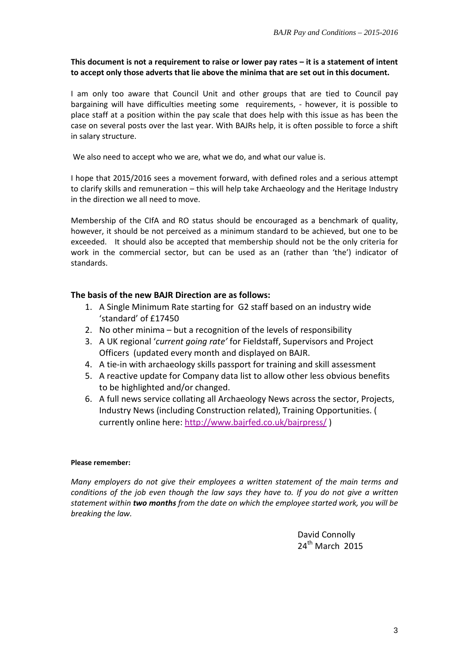## **This document is not a requirement to raise or lower pay rates – it is a statement of intent to accept only those adverts that lie above the minima that are set out in this document.**

I am only too aware that Council Unit and other groups that are tied to Council pay bargaining will have difficulties meeting some requirements, - however, it is possible to place staff at a position within the pay scale that does help with this issue as has been the case on several posts over the last year. With BAJRs help, it is often possible to force a shift in salary structure.

We also need to accept who we are, what we do, and what our value is.

I hope that 2015/2016 sees a movement forward, with defined roles and a serious attempt to clarify skills and remuneration – this will help take Archaeology and the Heritage Industry in the direction we all need to move.

Membership of the CIfA and RO status should be encouraged as a benchmark of quality, however, it should be not perceived as a minimum standard to be achieved, but one to be exceeded. It should also be accepted that membership should not be the only criteria for work in the commercial sector, but can be used as an (rather than 'the') indicator of standards.

## **The basis of the new BAJR Direction are as follows:**

- 1. A Single Minimum Rate starting for G2 staff based on an industry wide 'standard' of £17450
- 2. No other minima but a recognition of the levels of responsibility
- 3. A UK regional '*current going rate'* for Fieldstaff, Supervisors and Project Officers (updated every month and displayed on BAJR.
- 4. A tie-in with archaeology skills passport for training and skill assessment
- 5. A reactive update for Company data list to allow other less obvious benefits to be highlighted and/or changed.
- 6. A full news service collating all Archaeology News across the sector, Projects, Industry News (including Construction related), Training Opportunities. ( currently online here:<http://www.bajrfed.co.uk/bajrpress/> )

## **Please remember:**

*Many employers do not give their employees a written statement of the main terms and conditions of the job even though the law says they have to. If you do not give a written statement within two months from the date on which the employee started work, you will be breaking the law.*

> David Connolly  $24$ <sup>th</sup> March 2015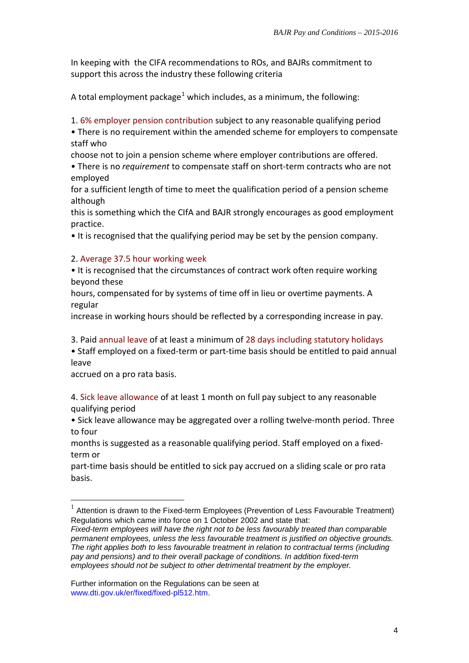In keeping with the CIFA recommendations to ROs, and BAJRs commitment to support this across the industry these following criteria

A total employment package<sup>[1](#page-0-0)</sup> which includes, as a minimum, the following:

1. 6% employer pension contribution subject to any reasonable qualifying period

• There is no requirement within the amended scheme for employers to compensate staff who

choose not to join a pension scheme where employer contributions are offered.

• There is no *requirement* to compensate staff on short-term contracts who are not employed

for a sufficient length of time to meet the qualification period of a pension scheme although

this is something which the CIfA and BAJR strongly encourages as good employment practice.

• It is recognised that the qualifying period may be set by the pension company.

# 2. Average 37.5 hour working week

• It is recognised that the circumstances of contract work often require working beyond these

hours, compensated for by systems of time off in lieu or overtime payments. A regular

increase in working hours should be reflected by a corresponding increase in pay.

3. Paid annual leave of at least a minimum of 28 days including statutory holidays

• Staff employed on a fixed-term or part-time basis should be entitled to paid annual leave

accrued on a pro rata basis.

4. Sick leave allowance of at least 1 month on full pay subject to any reasonable qualifying period

• Sick leave allowance may be aggregated over a rolling twelve-month period. Three to four

months is suggested as a reasonable qualifying period. Staff employed on a fixedterm or

part-time basis should be entitled to sick pay accrued on a sliding scale or pro rata basis.

 $1$  Attention is drawn to the Fixed-term Employees (Prevention of Less Favourable Treatment) Regulations which came into force on 1 October 2002 and state that:

*Fixed-term employees will have the right not to be less favourably treated than comparable permanent employees, unless the less favourable treatment is justified on objective grounds. The right applies both to less favourable treatment in relation to contractual terms (including pay and pensions) and to their overall package of conditions. In addition fixed-term employees should not be subject to other detrimental treatment by the employer.*

Further information on the Regulations can be seen at www.dti.gov.uk/er/fixed/fixed-pl512.htm.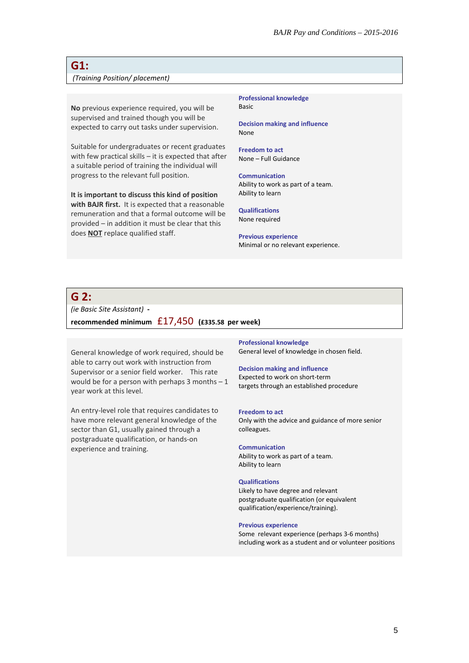# **G1:**

#### *(Training Position/ placement)*

**No** previous experience required, you will be supervised and trained though you will be expected to carry out tasks under supervision.

Suitable for undergraduates or recent graduates with few practical skills – it is expected that after a suitable period of training the individual will progress to the relevant full position.

**It is important to discuss this kind of position with BAJR first.** It is expected that a reasonable remuneration and that a formal outcome will be provided – in addition it must be clear that this does **NOT** replace qualified staff.

**Professional knowledge** Basic

**Decision making and influence** None

**Freedom to act** None – Full Guidance

**Communication** Ability to work as part of a team. Ability to learn

**Qualifications** None required

**Previous experience** Minimal or no relevant experience.

# **G 2:**

*(ie Basic Site Assistant)* **-** 

**recommended minimum** £17,450 **(£335.58 per week)** 

General knowledge of work required, should be able to carry out work with instruction from Supervisor or a senior field worker. This rate would be for a person with perhaps  $3$  months  $-1$ year work at this level.

An entry-level role that requires candidates to have more relevant general knowledge of the sector than G1, usually gained through a postgraduate qualification, or hands-on experience and training.

**Professional knowledge** General level of knowledge in chosen field.

#### **Decision making and influence**

Expected to work on short-term targets through an established procedure

#### **Freedom to act**

Only with the advice and guidance of more senior colleagues.

#### **Communication**

Ability to work as part of a team. Ability to learn

#### **Qualifications**

Likely to have degree and relevant postgraduate qualification (or equivalent qualification/experience/training).

#### **Previous experience**

Some relevant experience (perhaps 3-6 months) including work as a student and or volunteer positions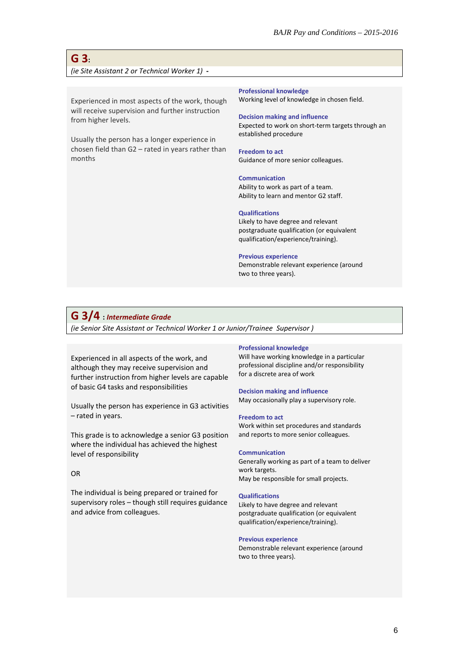# **G 3:**  *(ie Site Assistant 2 or Technical Worker 1)* **-**

Experienced in most aspects of the work, though will receive supervision and further instruction from higher levels.

Usually the person has a longer experience in chosen field than G2 – rated in years rather than months

**Professional knowledge**

Working level of knowledge in chosen field.

#### **Decision making and influence**

Expected to work on short-term targets through an established procedure

#### **Freedom to act**

Guidance of more senior colleagues.

#### **Communication**

Ability to work as part of a team. Ability to learn and mentor G2 staff.

#### **Qualifications**

Likely to have degree and relevant postgraduate qualification (or equivalent qualification/experience/training).

#### **Previous experience**

Demonstrable relevant experience (around two to three years).

## **G 3/4 :** *Intermediate Grade*

*(ie Senior Site Assistant or Technical Worker 1 or Junior/Trainee Supervisor )*

Experienced in all aspects of the work, and although they may receive supervision and further instruction from higher levels are capable of basic G4 tasks and responsibilities

Usually the person has experience in G3 activities – rated in years.

This grade is to acknowledge a senior G3 position where the individual has achieved the highest level of responsibility

## OR

The individual is being prepared or trained for supervisory roles – though still requires guidance and advice from colleagues.

#### **Professional knowledge**

Will have working knowledge in a particular professional discipline and/or responsibility for a discrete area of work

#### **Decision making and influence**

May occasionally play a supervisory role.

#### **Freedom to act**

Work within set procedures and standards and reports to more senior colleagues.

#### **Communication**

Generally working as part of a team to deliver work targets. May be responsible for small projects.

#### **Qualifications**

Likely to have degree and relevant postgraduate qualification (or equivalent qualification/experience/training).

#### **Previous experience**

Demonstrable relevant experience (around two to three years).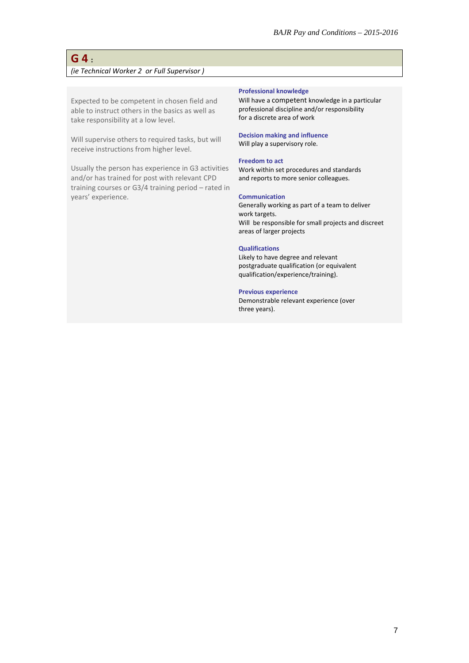# **G 4 :**  *(ie Technical Worker 2 or Full Supervisor )*

Expected to be competent in chosen field and able to instruct others in the basics as well as take responsibility at a low level.

Will supervise others to required tasks, but will receive instructions from higher level.

Usually the person has experience in G3 activities and/or has trained for post with relevant CPD training courses or G3/4 training period – rated in years' experience.

#### **Professional knowledge**

Will have a competent knowledge in a particular professional discipline and/or responsibility for a discrete area of work

# **Decision making and influence**

Will play a supervisory role.

## **Freedom to act**

Work within set procedures and standards and reports to more senior colleagues.

#### **Communication**

Generally working as part of a team to deliver work targets. Will be responsible for small projects and discreet areas of larger projects

#### **Qualifications**

Likely to have degree and relevant postgraduate qualification (or equivalent qualification/experience/training).

## **Previous experience**

Demonstrable relevant experience (over three years).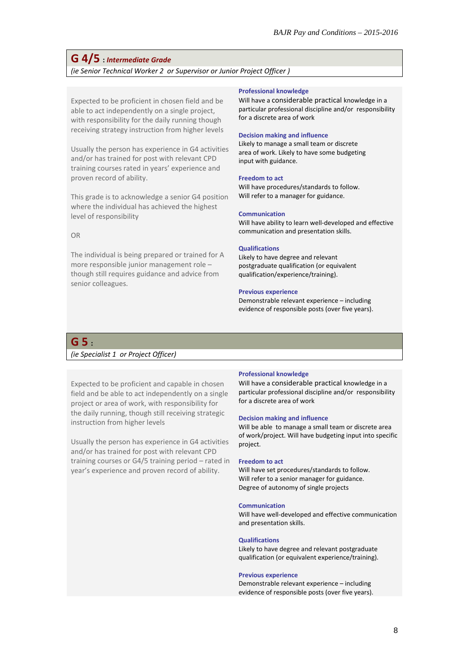# **G 4/5 :** *Intermediate Grade*

*(ie Senior Technical Worker 2 or Supervisor or Junior Project Officer )*

Expected to be proficient in chosen field and be able to act independently on a single project, with responsibility for the daily running though receiving strategy instruction from higher levels

Usually the person has experience in G4 activities and/or has trained for post with relevant CPD training courses rated in years' experience and proven record of ability.

This grade is to acknowledge a senior G4 position where the individual has achieved the highest level of responsibility

#### OR

The individual is being prepared or trained for A more responsible junior management role – though still requires guidance and advice from senior colleagues.

#### **Professional knowledge**

Will have a considerable practical knowledge in a particular professional discipline and/or responsibility for a discrete area of work

#### **Decision making and influence**

Likely to manage a small team or discrete area of work. Likely to have some budgeting input with guidance.

#### **Freedom to act**

Will have procedures/standards to follow. Will refer to a manager for guidance.

#### **Communication**

Will have ability to learn well-developed and effective communication and presentation skills.

#### **Qualifications**

Likely to have degree and relevant postgraduate qualification (or equivalent qualification/experience/training).

#### **Previous experience**

Demonstrable relevant experience – including evidence of responsible posts (over five years).

## **G 5 :**

## *(ie Specialist 1 or Project Officer)*

Expected to be proficient and capable in chosen field and be able to act independently on a single project or area of work, with responsibility for the daily running, though still receiving strategic instruction from higher levels

Usually the person has experience in G4 activities and/or has trained for post with relevant CPD training courses or G4/5 training period – rated in year's experience and proven record of ability.

#### **Professional knowledge**

Will have a considerable practical knowledge in a particular professional discipline and/or responsibility for a discrete area of work

#### **Decision making and influence**

Will be able to manage a small team or discrete area of work/project. Will have budgeting input into specific project.

#### **Freedom to act**

Will have set procedures/standards to follow. Will refer to a senior manager for guidance. Degree of autonomy of single projects

#### **Communication**

Will have well-developed and effective communication and presentation skills.

#### **Qualifications**

Likely to have degree and relevant postgraduate qualification (or equivalent experience/training).

#### **Previous experience**

Demonstrable relevant experience – including evidence of responsible posts (over five years).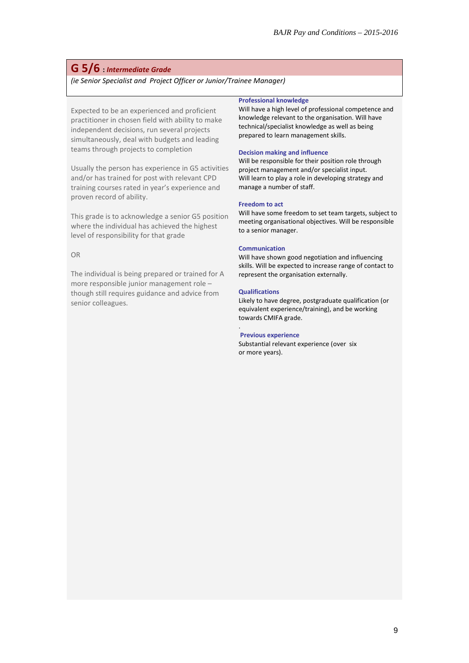## **G 5/6 :** *Intermediate Grade*

*(ie Senior Specialist and Project Officer or Junior/Trainee Manager)*

Expected to be an experienced and proficient practitioner in chosen field with ability to make independent decisions, run several projects simultaneously, deal with budgets and leading teams through projects to completion

Usually the person has experience in G5 activities and/or has trained for post with relevant CPD training courses rated in year's experience and proven record of ability.

This grade is to acknowledge a senior G5 position where the individual has achieved the highest level of responsibility for that grade

#### OR

The individual is being prepared or trained for A more responsible junior management role – though still requires guidance and advice from senior colleagues.

#### **Professional knowledge**

Will have a high level of professional competence and knowledge relevant to the organisation. Will have technical/specialist knowledge as well as being prepared to learn management skills.

#### **Decision making and influence**

Will be responsible for their position role through project management and/or specialist input. Will learn to play a role in developing strategy and manage a number of staff.

#### **Freedom to act**

Will have some freedom to set team targets, subject to meeting organisational objectives. Will be responsible to a senior manager.

#### **Communication**

Will have shown good negotiation and influencing skills. Will be expected to increase range of contact to represent the organisation externally.

#### **Qualifications**

.

Likely to have degree, postgraduate qualification (or equivalent experience/training), and be working towards CMIFA grade.

#### **Previous experience**

Substantial relevant experience (over six or more years).